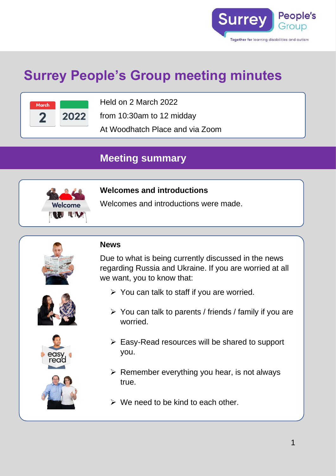

# **Surrey People's Group meeting minutes**



Held on 2 March 2022

from 10:30am to 12 midday

At Woodhatch Place and via Zoom

# **Meeting summary**



# **Welcomes and introductions**

Welcomes and introductions were made.



#### **News**

Due to what is being currently discussed in the news regarding Russia and Ukraine. If you are worried at all we want, you to know that:

- $\triangleright$  You can talk to staff if you are worried.
- $\triangleright$  You can talk to parents / friends / family if you are worried.
- 



- ➢ Easy-Read resources will be shared to support you.
- $\triangleright$  Remember everything you hear, is not always true.
- $\triangleright$  We need to be kind to each other.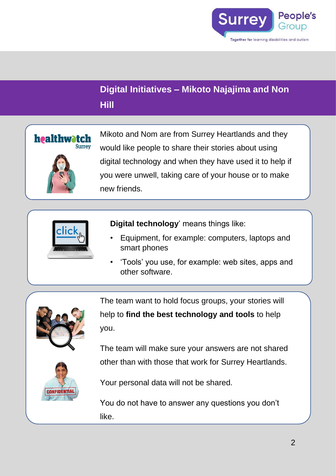

# **Digital Initiatives – Mikoto Najajima and Non Hill**



Mikoto and Nom are from Surrey Heartlands and they would like people to share their stories about using digital technology and when they have used it to help if you were unwell, taking care of your house or to make new friends.



**Digital technology**' means things like:

- Equipment, for example: computers, laptops and smart phones
- 'Tools' you use, for example: web sites, apps and other software.



The team want to hold focus groups, your stories will help to **find the best technology and tools** to help you.

The team will make sure your answers are not shared other than with those that work for Surrey Heartlands.



Your personal data will not be shared.

You do not have to answer any questions you don't like.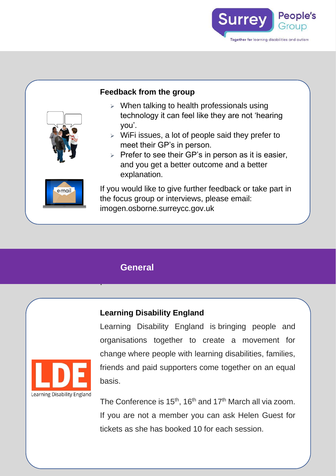

## **Feedback from the group**

- $\triangleright$  When talking to health professionals using technology it can feel like they are not 'hearing you'.
- $\triangleright$  WiFi issues, a lot of people said they prefer to meet their GP's in person.
- $\triangleright$  Prefer to see their GP's in person as it is easier, and you get a better outcome and a better explanation.

If you would like to give further feedback or take part in the focus group or interviews, please email: imogen.osborne.surreycc.gov.uk

# **General**

.

# **Learning Disability England**

Learning Disability England is bringing people and organisations together to create a movement for change where people with learning disabilities, families, friends and paid supporters come together on an equal basis.

The Conference is 15<sup>th</sup>, 16<sup>th</sup> and 17<sup>th</sup> March all via zoom. If you are not a member you can ask Helen Guest for tickets as she has booked 10 for each session.





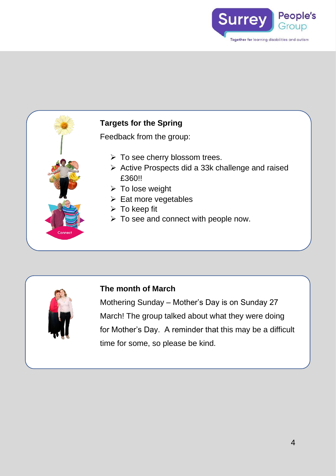





## **The month of March**

Mothering Sunday – Mother's Day is on Sunday 27 March! The group talked about what they were doing for Mother's Day. A reminder that this may be a difficult time for some, so please be kind.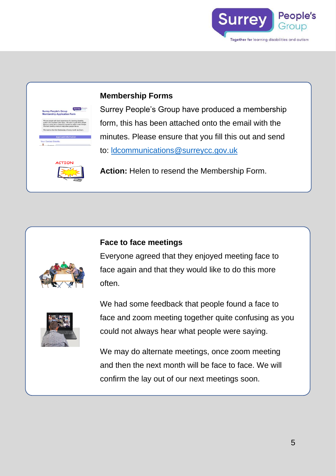

#### **Membership Forms**



Surrey People's Group have produced a membership form, this has been attached onto the email with the minutes. Please ensure that you fill this out and send to: [ldcommunications@surreycc.gov.uk](mailto:ldcommunications@surreycc.gov.uk)

**Action:** Helen to resend the Membership Form.

#### **Face to face meetings**



Everyone agreed that they enjoyed meeting face to face again and that they would like to do this more often.



We had some feedback that people found a face to face and zoom meeting together quite confusing as you could not always hear what people were saying.

We may do alternate meetings, once zoom meeting and then the next month will be face to face. We will confirm the lay out of our next meetings soon.